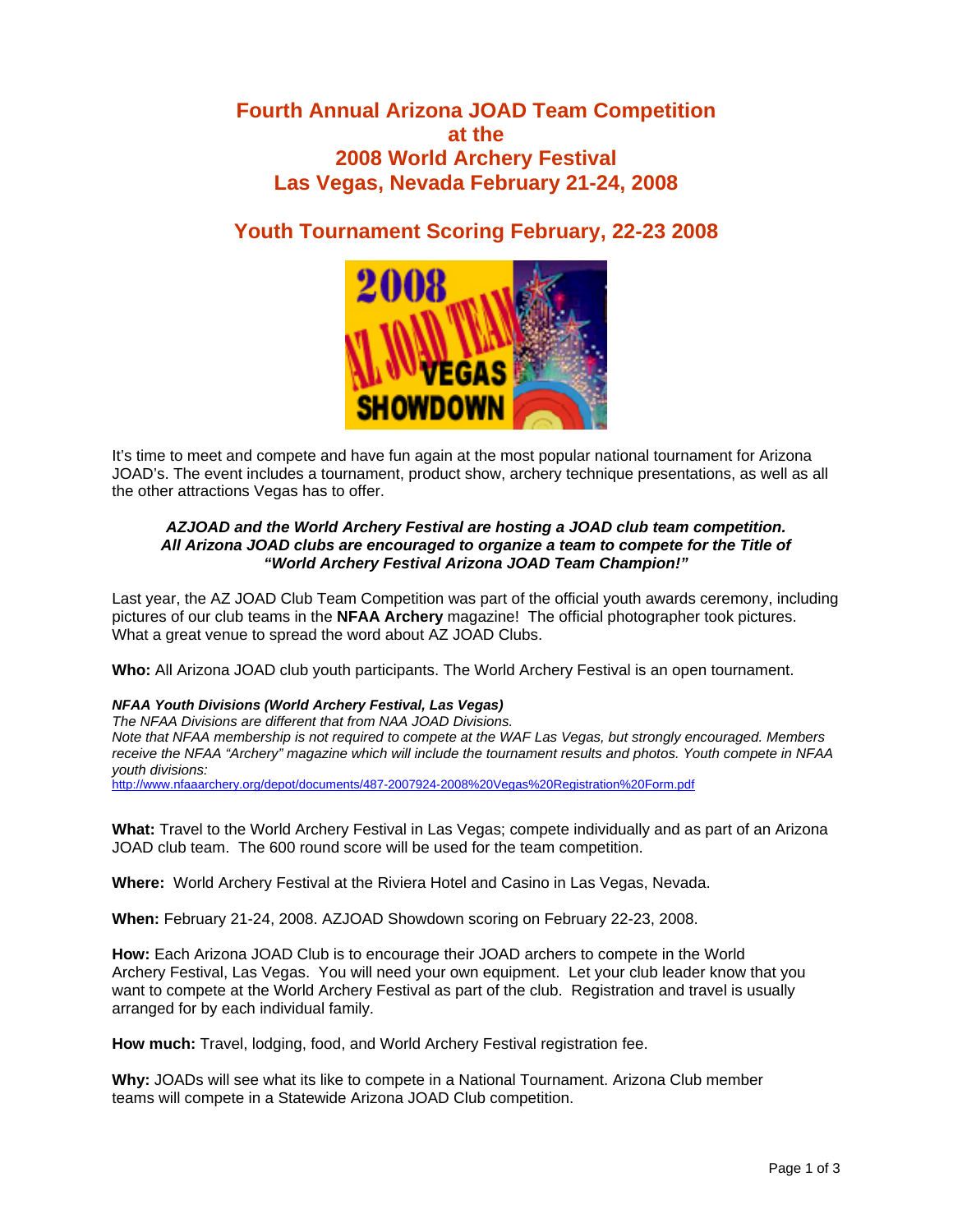# **Fourth Annual Arizona JOAD Team Competition at the 2008 World Archery Festival Las Vegas, Nevada February 21-24, 2008**

# **Youth Tournament Scoring February, 22-23 2008**



It's time to meet and compete and have fun again at the most popular national tournament for Arizona JOAD's. The event includes a tournament, product show, archery technique presentations, as well as all the other attractions Vegas has to offer.

# *AZJOAD and the World Archery Festival are hosting a JOAD club team competition. All Arizona JOAD clubs are encouraged to organize a team to compete for the Title of "World Archery Festival Arizona JOAD Team Champion!"*

Last year, the AZ JOAD Club Team Competition was part of the official youth awards ceremony, including pictures of our club teams in the **NFAA Archery** magazine! The official photographer took pictures. What a great venue to spread the word about AZ JOAD Clubs.

**Who:** All Arizona JOAD club youth participants. The World Archery Festival is an open tournament.

# *NFAA Youth Divisions (World Archery Festival, Las Vegas)*

*The NFAA Divisions are different that from NAA JOAD Divisions.* 

*Note that NFAA membership is not required to compete at the WAF Las Vegas, but strongly encouraged. Members receive the NFAA "Archery" magazine which will include the tournament results and photos. Youth compete in NFAA youth divisions:* 

[http://www.nfaaarchery.org/depot/documents/487-2007924-2008%20Vegas%20Registration%20Form.pdf](http://www.nfaaarchery.org/depot/documents/487-2007924-2008 Vegas Registration Form.pdf) 

**What:** Travel to the World Archery Festival in Las Vegas; compete individually and as part of an Arizona JOAD club team. The 600 round score will be used for the team competition.

**Where:** World Archery Festival at the Riviera Hotel and Casino in Las Vegas, Nevada.

**When:** February 21-24, 2008. AZJOAD Showdown scoring on February 22-23, 2008.

**How:** Each Arizona JOAD Club is to encourage their JOAD archers to compete in the World Archery Festival, Las Vegas. You will need your own equipment. Let your club leader know that you want to compete at the World Archery Festival as part of the club. Registration and travel is usually arranged for by each individual family.

**How much:** Travel, lodging, food, and World Archery Festival registration fee.

**Why:** JOADs will see what its like to compete in a National Tournament. Arizona Club member teams will compete in a Statewide Arizona JOAD Club competition.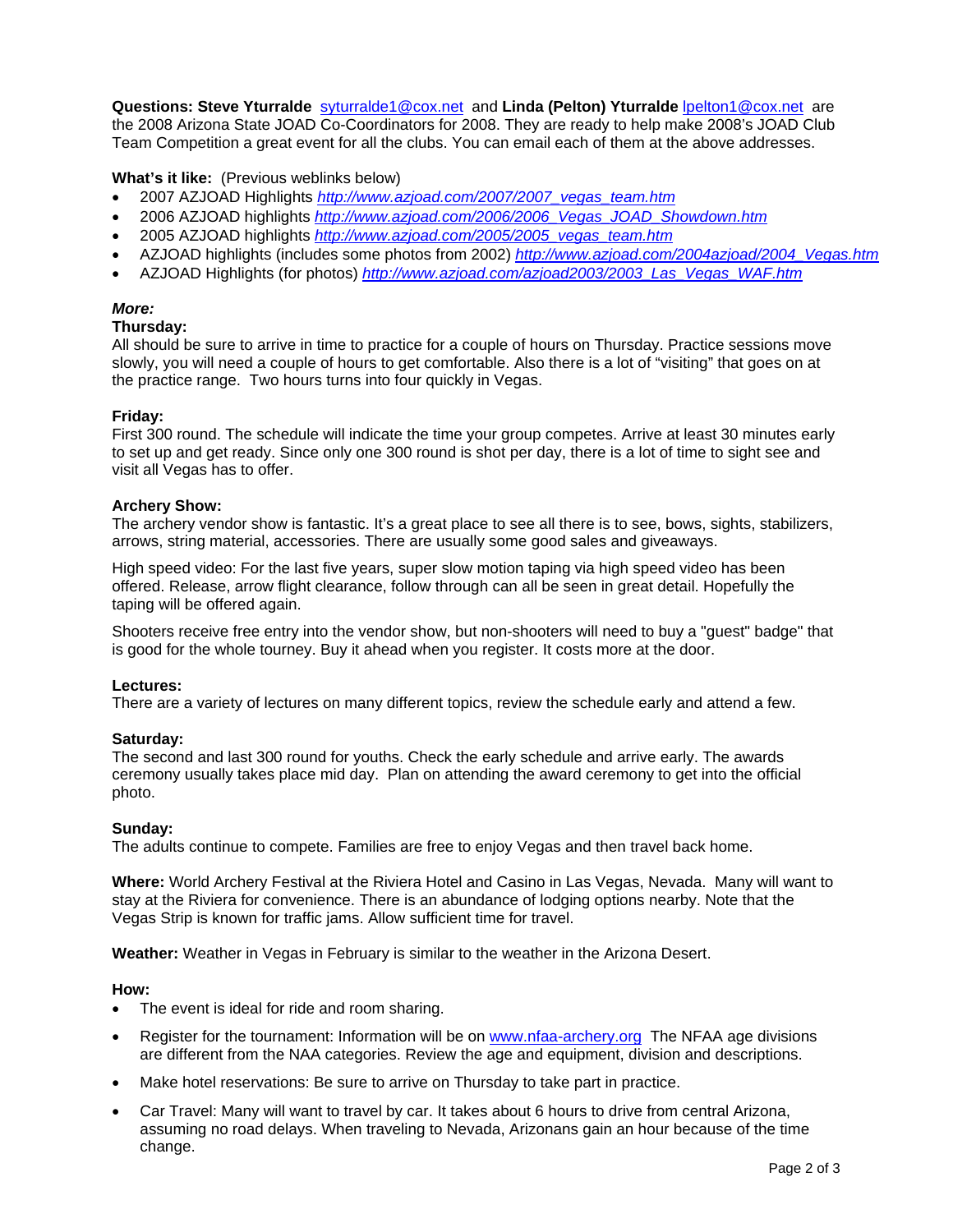**Questions: Steve Yturralde** [syturralde1@cox.net](mailto:syturralde1@cox.net) and **Linda (Pelton) Yturralde** [lpelton1@cox.net](mailto:lpelton1@cox.net) are the 2008 Arizona State JOAD Co-Coordinators for 2008. They are ready to help make 2008's JOAD Club Team Competition a great event for all the clubs. You can email each of them at the above addresses.

# **What's it like:** (Previous weblinks below)

- 2007 AZJOAD Highlights *[http://www.azjoad.com/2007/2007\\_vegas\\_team.htm](http://www.azjoad.com/2007/2007_vegas_team.htm)*
- 2006 AZJOAD highlights *http://www.azjoad.com/2006/2006\_Vegas\_JOAD\_Showdown.htm*
- 2005 AZJOAD highlights *http://www.azjoad.com/2005/2005\_vegas\_team.htm*
- AZJOAD highlights (includes some photos from 2002) *[http://www.azjoad.com/2004azjoad/2004\\_Vegas.htm](http://www.azjoad.com/2004azjoad/2004_Vegas.htm)*
- AZJOAD Highlights (for photos) *[http://www.azjoad.com/azjoad2003/2003\\_Las\\_Vegas\\_WAF.htm](http://www.azjoad.com/azjoad2003/2003_Las_Vegas_WAF.htm)*

# *More:*

#### **Thursday:**

All should be sure to arrive in time to practice for a couple of hours on Thursday. Practice sessions move slowly, you will need a couple of hours to get comfortable. Also there is a lot of "visiting" that goes on at the practice range. Two hours turns into four quickly in Vegas.

#### **Friday:**

First 300 round. The schedule will indicate the time your group competes. Arrive at least 30 minutes early to set up and get ready. Since only one 300 round is shot per day, there is a lot of time to sight see and visit all Vegas has to offer.

#### **Archery Show:**

The archery vendor show is fantastic. It's a great place to see all there is to see, bows, sights, stabilizers, arrows, string material, accessories. There are usually some good sales and giveaways.

High speed video: For the last five years, super slow motion taping via high speed video has been offered. Release, arrow flight clearance, follow through can all be seen in great detail. Hopefully the taping will be offered again.

Shooters receive free entry into the vendor show, but non-shooters will need to buy a "guest" badge" that is good for the whole tourney. Buy it ahead when you register. It costs more at the door.

# **Lectures:**

There are a variety of lectures on many different topics, review the schedule early and attend a few.

# **Saturday:**

The second and last 300 round for youths. Check the early schedule and arrive early. The awards ceremony usually takes place mid day. Plan on attending the award ceremony to get into the official photo.

# **Sunday:**

The adults continue to compete. Families are free to enjoy Vegas and then travel back home.

**Where:** World Archery Festival at the Riviera Hotel and Casino in Las Vegas, Nevada. Many will want to stay at the Riviera for convenience. There is an abundance of lodging options nearby. Note that the Vegas Strip is known for traffic jams. Allow sufficient time for travel.

**Weather:** Weather in Vegas in February is similar to the weather in the Arizona Desert.

#### **How:**

- The event is ideal for ride and room sharing.
- Register for the tournament: Information will be on [www.nfaa-archery.org](http://www.nfaa-archery.org/) The NFAA age divisions are different from the NAA categories. Review the age and equipment, division and descriptions.
- Make hotel reservations: Be sure to arrive on Thursday to take part in practice.
- Car Travel: Many will want to travel by car. It takes about 6 hours to drive from central Arizona, assuming no road delays. When traveling to Nevada, Arizonans gain an hour because of the time change.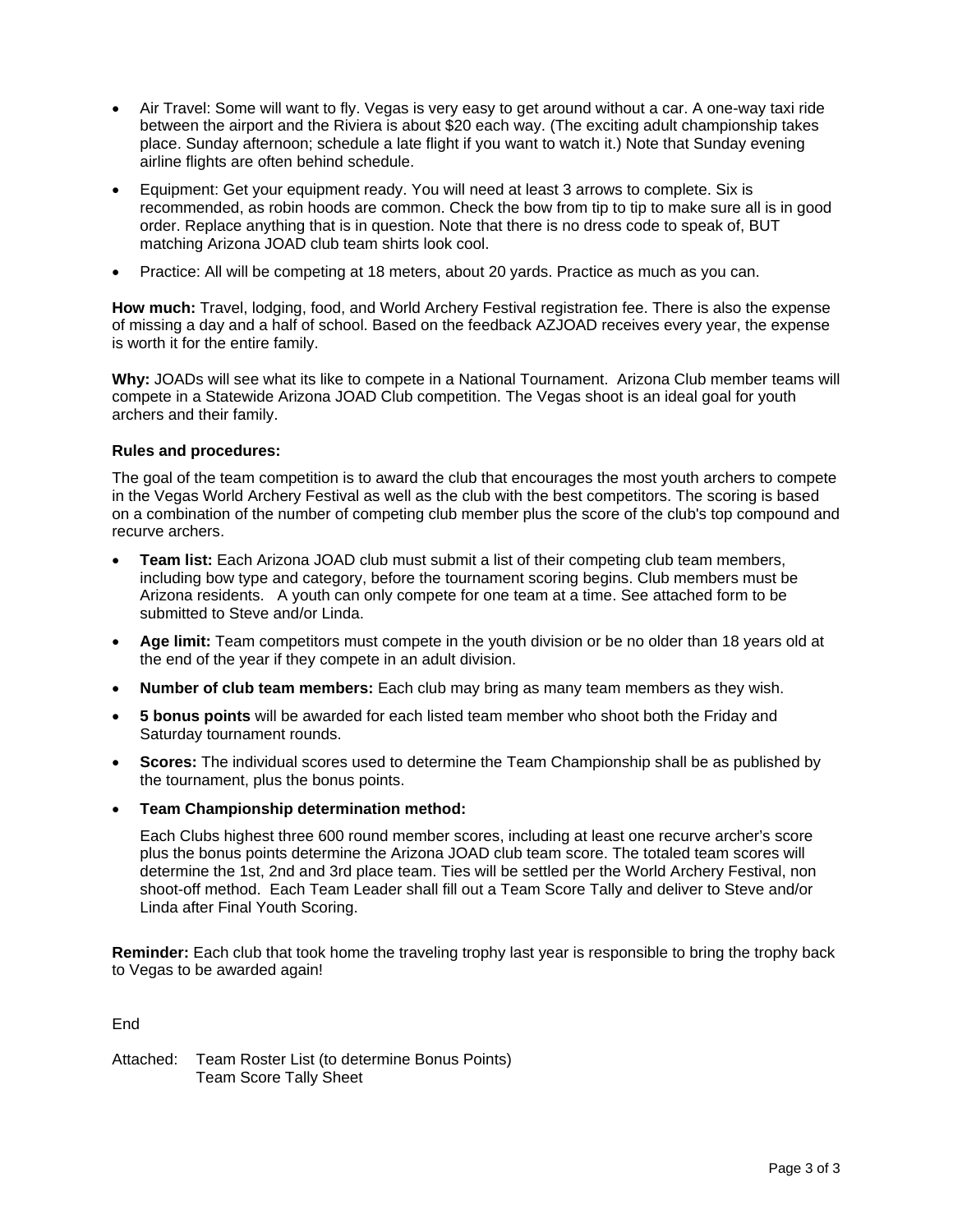- Air Travel: Some will want to fly. Vegas is very easy to get around without a car. A one-way taxi ride between the airport and the Riviera is about \$20 each way. (The exciting adult championship takes place. Sunday afternoon; schedule a late flight if you want to watch it.) Note that Sunday evening airline flights are often behind schedule.
- Equipment: Get your equipment ready. You will need at least 3 arrows to complete. Six is recommended, as robin hoods are common. Check the bow from tip to tip to make sure all is in good order. Replace anything that is in question. Note that there is no dress code to speak of, BUT matching Arizona JOAD club team shirts look cool.
- Practice: All will be competing at 18 meters, about 20 yards. Practice as much as you can.

**How much:** Travel, lodging, food, and World Archery Festival registration fee. There is also the expense of missing a day and a half of school. Based on the feedback AZJOAD receives every year, the expense is worth it for the entire family.

**Why:** JOADs will see what its like to compete in a National Tournament. Arizona Club member teams will compete in a Statewide Arizona JOAD Club competition. The Vegas shoot is an ideal goal for youth archers and their family.

# **Rules and procedures:**

The goal of the team competition is to award the club that encourages the most youth archers to compete in the Vegas World Archery Festival as well as the club with the best competitors. The scoring is based on a combination of the number of competing club member plus the score of the club's top compound and recurve archers.

- **Team list:** Each Arizona JOAD club must submit a list of their competing club team members, including bow type and category, before the tournament scoring begins. Club members must be Arizona residents. A youth can only compete for one team at a time. See attached form to be submitted to Steve and/or Linda.
- **Age limit:** Team competitors must compete in the youth division or be no older than 18 years old at the end of the year if they compete in an adult division.
- **Number of club team members:** Each club may bring as many team members as they wish.
- **5 bonus points** will be awarded for each listed team member who shoot both the Friday and Saturday tournament rounds.
- **Scores:** The individual scores used to determine the Team Championship shall be as published by the tournament, plus the bonus points.
- **Team Championship determination method:**

Each Clubs highest three 600 round member scores, including at least one recurve archer's score plus the bonus points determine the Arizona JOAD club team score. The totaled team scores will determine the 1st, 2nd and 3rd place team. Ties will be settled per the World Archery Festival, non shoot-off method. Each Team Leader shall fill out a Team Score Tally and deliver to Steve and/or Linda after Final Youth Scoring.

**Reminder:** Each club that took home the traveling trophy last year is responsible to bring the trophy back to Vegas to be awarded again!

End

Attached: Team Roster List (to determine Bonus Points) Team Score Tally Sheet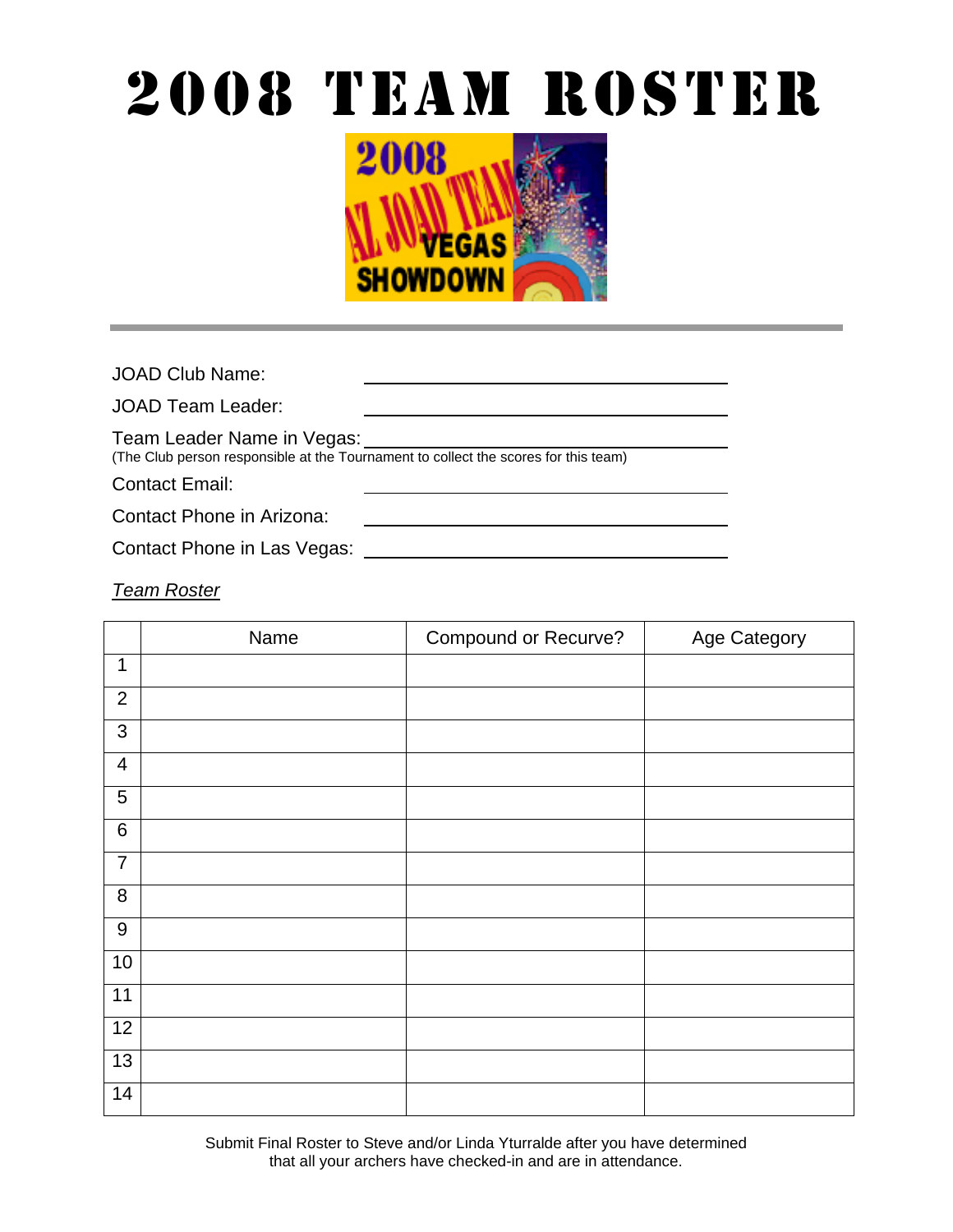# 2008 TEAM ROSTEr



JOAD Club Name:

JOAD Team Leader:

Team Leader Name in Vegas:

(The Club person responsible at the Tournament to collect the scores for this team)

Contact Email:

Contact Phone in Arizona:

Contact Phone in Las Vegas:

*Team Roster*

|                  | Name | Compound or Recurve? | Age Category |
|------------------|------|----------------------|--------------|
| 1                |      |                      |              |
| $\overline{2}$   |      |                      |              |
| $\mathfrak{S}$   |      |                      |              |
| $\overline{4}$   |      |                      |              |
| 5                |      |                      |              |
| $\,6\,$          |      |                      |              |
| $\overline{7}$   |      |                      |              |
| 8                |      |                      |              |
| $\boldsymbol{9}$ |      |                      |              |
| $10$             |      |                      |              |
| 11               |      |                      |              |
| 12               |      |                      |              |
| 13               |      |                      |              |
| $\overline{14}$  |      |                      |              |

Submit Final Roster to Steve and/or Linda Yturralde after you have determined that all your archers have checked-in and are in attendance.